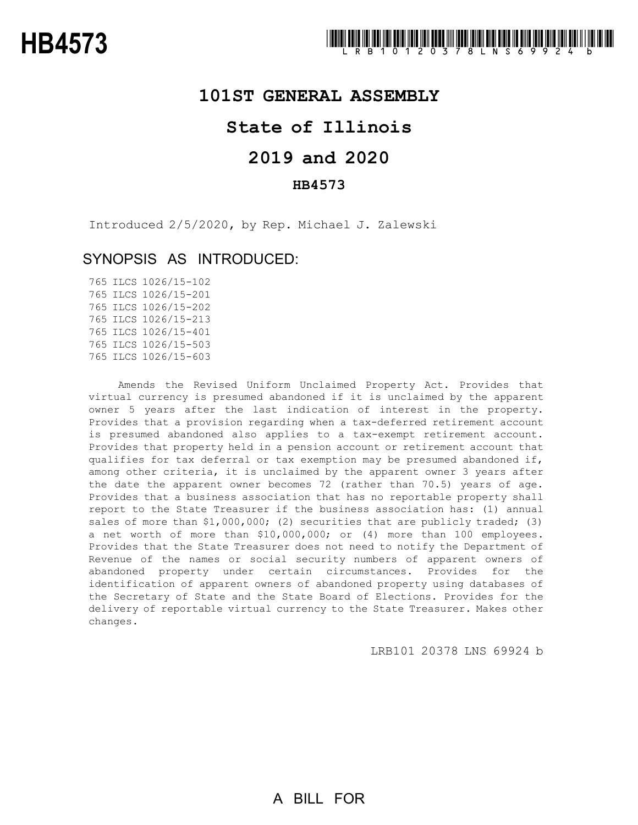### **101ST GENERAL ASSEMBLY**

## **State of Illinois**

# **2019 and 2020**

### **HB4573**

Introduced 2/5/2020, by Rep. Michael J. Zalewski

### SYNOPSIS AS INTRODUCED:

 ILCS 1026/15-102 ILCS 1026/15-201 ILCS 1026/15-202 ILCS 1026/15-213 ILCS 1026/15-401 ILCS 1026/15-503 ILCS 1026/15-603

Amends the Revised Uniform Unclaimed Property Act. Provides that virtual currency is presumed abandoned if it is unclaimed by the apparent owner 5 years after the last indication of interest in the property. Provides that a provision regarding when a tax-deferred retirement account is presumed abandoned also applies to a tax-exempt retirement account. Provides that property held in a pension account or retirement account that qualifies for tax deferral or tax exemption may be presumed abandoned if, among other criteria, it is unclaimed by the apparent owner 3 years after the date the apparent owner becomes 72 (rather than 70.5) years of age. Provides that a business association that has no reportable property shall report to the State Treasurer if the business association has: (1) annual sales of more than \$1,000,000; (2) securities that are publicly traded; (3) a net worth of more than \$10,000,000; or (4) more than 100 employees. Provides that the State Treasurer does not need to notify the Department of Revenue of the names or social security numbers of apparent owners of abandoned property under certain circumstances. Provides for the identification of apparent owners of abandoned property using databases of the Secretary of State and the State Board of Elections. Provides for the delivery of reportable virtual currency to the State Treasurer. Makes other changes.

LRB101 20378 LNS 69924 b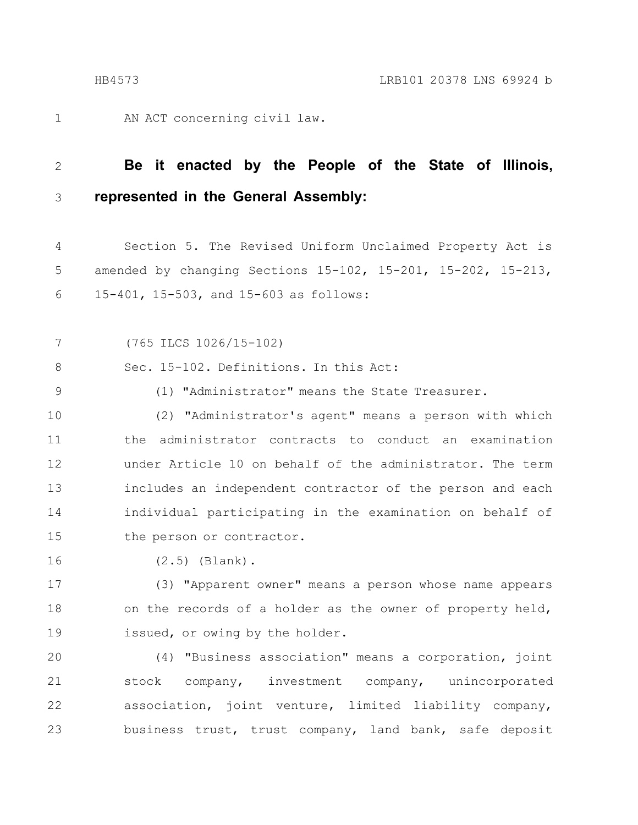AN ACT concerning civil law.

#### **Be it enacted by the People of the State of Illinois, represented in the General Assembly:** 2 3

Section 5. The Revised Uniform Unclaimed Property Act is amended by changing Sections 15-102, 15-201, 15-202, 15-213, 15-401, 15-503, and 15-603 as follows: 4 5 6

(765 ILCS 1026/15-102) 7

Sec. 15-102. Definitions. In this Act: 8

9

1

(1) "Administrator" means the State Treasurer.

(2) "Administrator's agent" means a person with which the administrator contracts to conduct an examination under Article 10 on behalf of the administrator. The term includes an independent contractor of the person and each individual participating in the examination on behalf of the person or contractor. 10 11 12 13 14 15

(2.5) (Blank). 16

(3) "Apparent owner" means a person whose name appears on the records of a holder as the owner of property held, issued, or owing by the holder. 17 18 19

(4) "Business association" means a corporation, joint stock company, investment company, unincorporated association, joint venture, limited liability company, business trust, trust company, land bank, safe deposit 20 21 22 23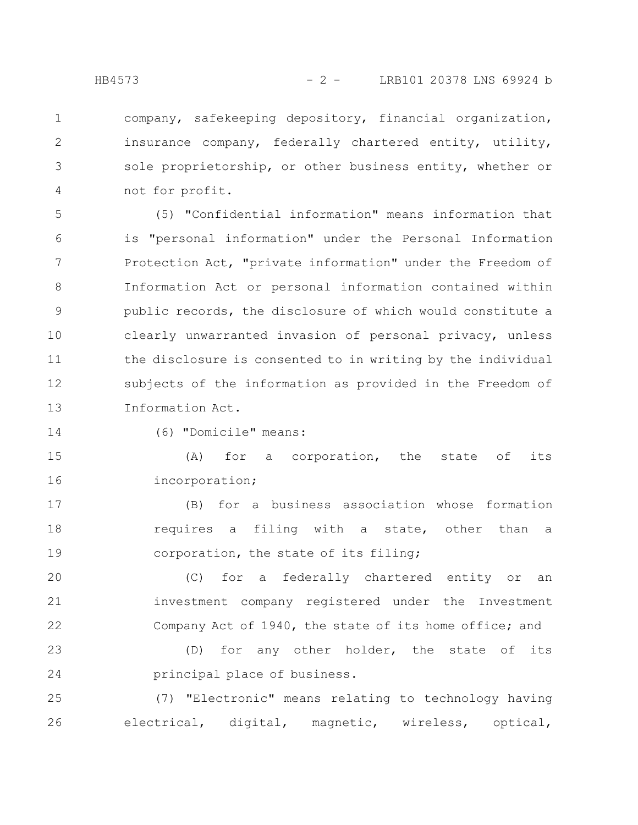2

3

4

company, safekeeping depository, financial organization, insurance company, federally chartered entity, utility, sole proprietorship, or other business entity, whether or not for profit.

(5) "Confidential information" means information that is "personal information" under the Personal Information Protection Act, "private information" under the Freedom of Information Act or personal information contained within public records, the disclosure of which would constitute a clearly unwarranted invasion of personal privacy, unless the disclosure is consented to in writing by the individual subjects of the information as provided in the Freedom of Information Act. 5 6 7 8 9 10 11 12 13

14

(6) "Domicile" means:

(A) for a corporation, the state of its incorporation; 15 16

(B) for a business association whose formation requires a filing with a state, other than a corporation, the state of its filing; 17 18 19

(C) for a federally chartered entity or an investment company registered under the Investment Company Act of 1940, the state of its home office; and 20 21 22

(D) for any other holder, the state of its principal place of business. 23 24

(7) "Electronic" means relating to technology having electrical, digital, magnetic, wireless, optical, 25 26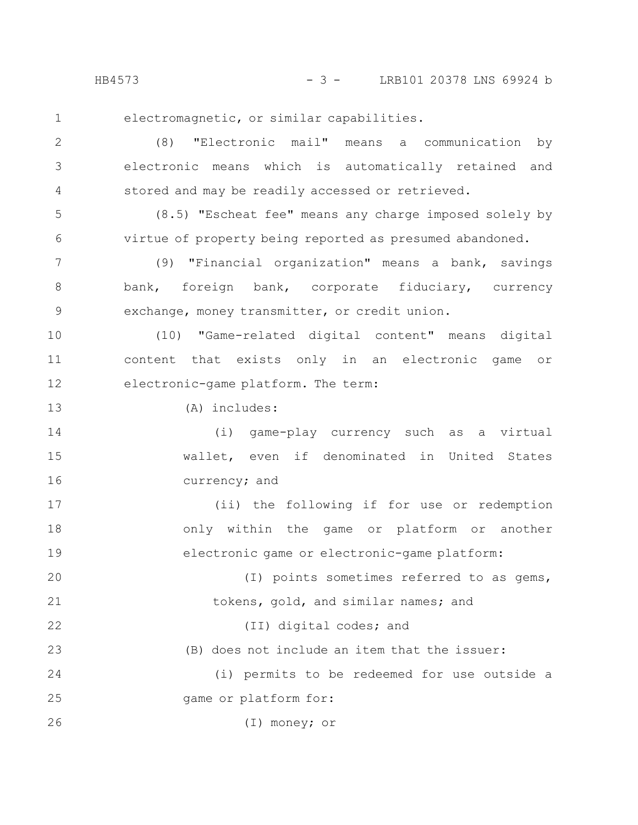23

electromagnetic, or similar capabilities.

(8) "Electronic mail" means a communication by electronic means which is automatically retained and stored and may be readily accessed or retrieved. 2 3 4

(8.5) "Escheat fee" means any charge imposed solely by virtue of property being reported as presumed abandoned. 5 6

(9) "Financial organization" means a bank, savings bank, foreign bank, corporate fiduciary, currency exchange, money transmitter, or credit union. 7 8 9

(10) "Game-related digital content" means digital content that exists only in an electronic game or electronic-game platform. The term: 10 11 12

(A) includes: 13

(i) game-play currency such as a virtual wallet, even if denominated in United States currency; and 14 15 16

(ii) the following if for use or redemption only within the game or platform or another electronic game or electronic-game platform: 17 18 19

(I) points sometimes referred to as gems, tokens, gold, and similar names; and 20 21

(II) digital codes; and 22

(B) does not include an item that the issuer:

(i) permits to be redeemed for use outside a game or platform for: 24 25

(I) money; or 26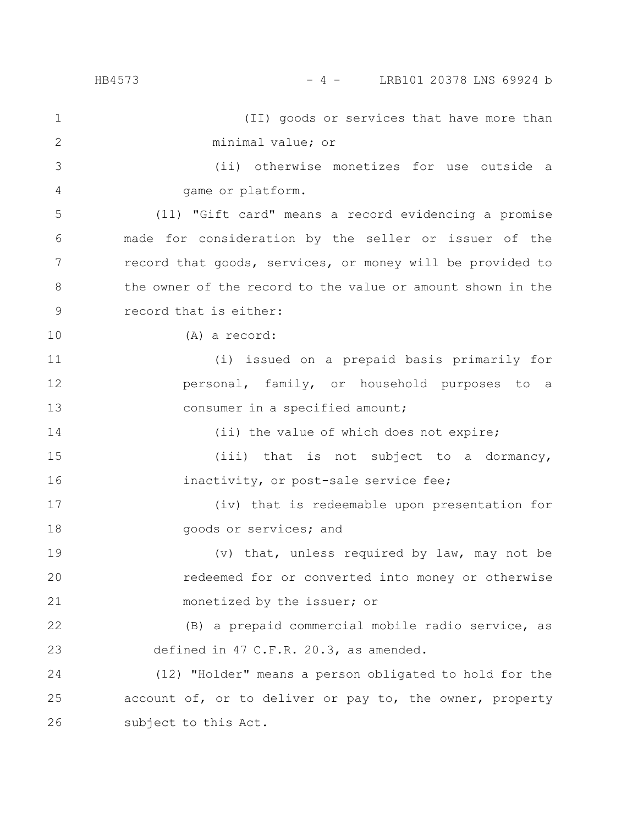(II) goods or services that have more than minimal value; or (ii) otherwise monetizes for use outside a game or platform. (11) "Gift card" means a record evidencing a promise made for consideration by the seller or issuer of the record that goods, services, or money will be provided to the owner of the record to the value or amount shown in the record that is either: (A) a record: (i) issued on a prepaid basis primarily for personal, family, or household purposes to a consumer in a specified amount; (ii) the value of which does not expire; (iii) that is not subject to a dormancy, inactivity, or post-sale service fee; (iv) that is redeemable upon presentation for goods or services; and (v) that, unless required by law, may not be redeemed for or converted into money or otherwise monetized by the issuer; or (B) a prepaid commercial mobile radio service, as defined in 47 C.F.R. 20.3, as amended. (12) "Holder" means a person obligated to hold for the account of, or to deliver or pay to, the owner, property subject to this Act. 1 2 3 4 5 6 7 8 9 10 11 12 13 14 15 16 17 18 19 20 21 22 23 24 25 26 HB4573 - 4 - LRB101 20378 LNS 69924 b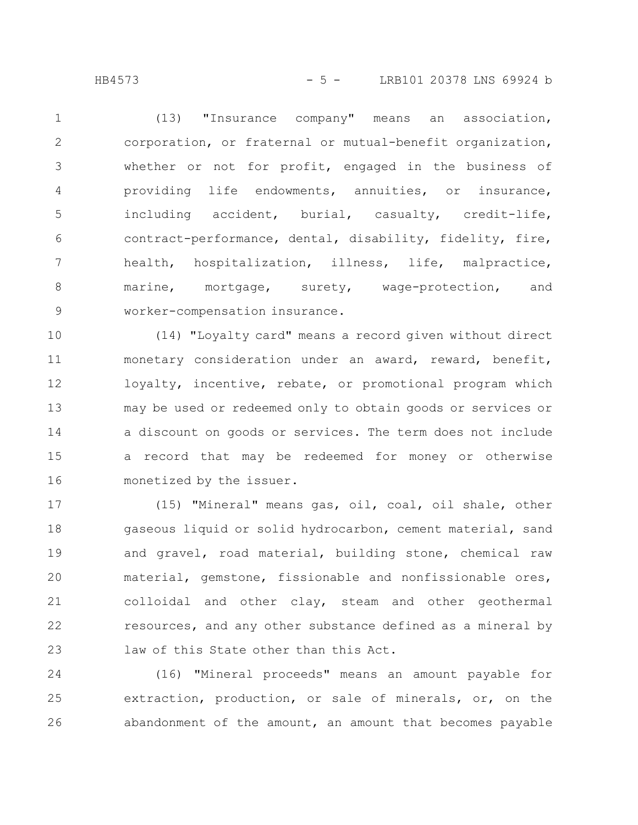(13) "Insurance company" means an association, corporation, or fraternal or mutual-benefit organization, whether or not for profit, engaged in the business of providing life endowments, annuities, or insurance, including accident, burial, casualty, credit-life, contract-performance, dental, disability, fidelity, fire, health, hospitalization, illness, life, malpractice, marine, mortgage, surety, wage-protection, and worker-compensation insurance. 1 2 3 4 5 6 7 8 9

(14) "Loyalty card" means a record given without direct monetary consideration under an award, reward, benefit, loyalty, incentive, rebate, or promotional program which may be used or redeemed only to obtain goods or services or a discount on goods or services. The term does not include a record that may be redeemed for money or otherwise monetized by the issuer. 10 11 12 13 14 15 16

(15) "Mineral" means gas, oil, coal, oil shale, other gaseous liquid or solid hydrocarbon, cement material, sand and gravel, road material, building stone, chemical raw material, gemstone, fissionable and nonfissionable ores, colloidal and other clay, steam and other geothermal resources, and any other substance defined as a mineral by law of this State other than this Act. 17 18 19 20 21 22 23

(16) "Mineral proceeds" means an amount payable for extraction, production, or sale of minerals, or, on the abandonment of the amount, an amount that becomes payable 24 25 26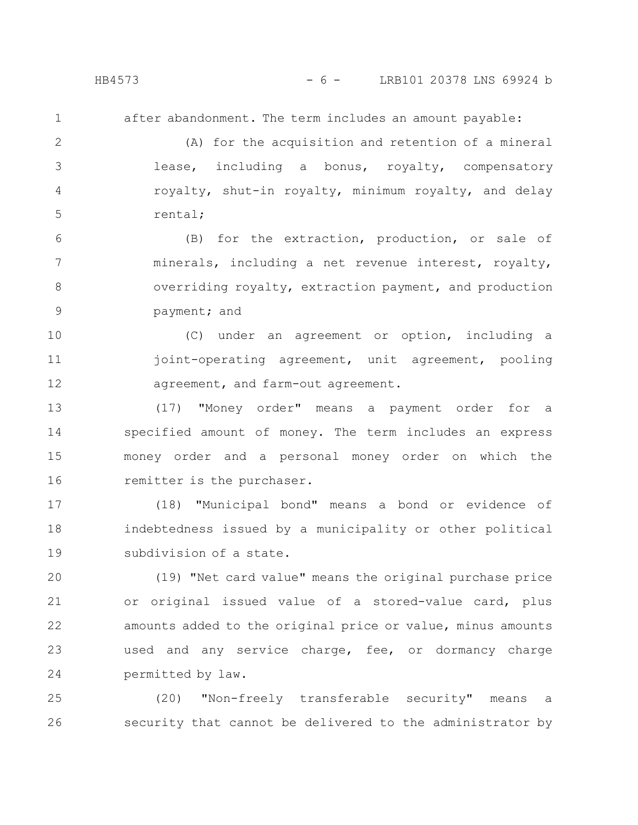after abandonment. The term includes an amount payable:

(A) for the acquisition and retention of a mineral lease, including a bonus, royalty, compensatory royalty, shut-in royalty, minimum royalty, and delay rental; 2 3 4 5

(B) for the extraction, production, or sale of minerals, including a net revenue interest, royalty, overriding royalty, extraction payment, and production payment; and 6 7 8 9

(C) under an agreement or option, including a joint-operating agreement, unit agreement, pooling agreement, and farm-out agreement. 10 11 12

(17) "Money order" means a payment order for a specified amount of money. The term includes an express money order and a personal money order on which the remitter is the purchaser. 13 14 15 16

(18) "Municipal bond" means a bond or evidence of indebtedness issued by a municipality or other political subdivision of a state. 17 18 19

(19) "Net card value" means the original purchase price or original issued value of a stored-value card, plus amounts added to the original price or value, minus amounts used and any service charge, fee, or dormancy charge permitted by law. 20 21 22 23 24

(20) "Non-freely transferable security" means a security that cannot be delivered to the administrator by 25 26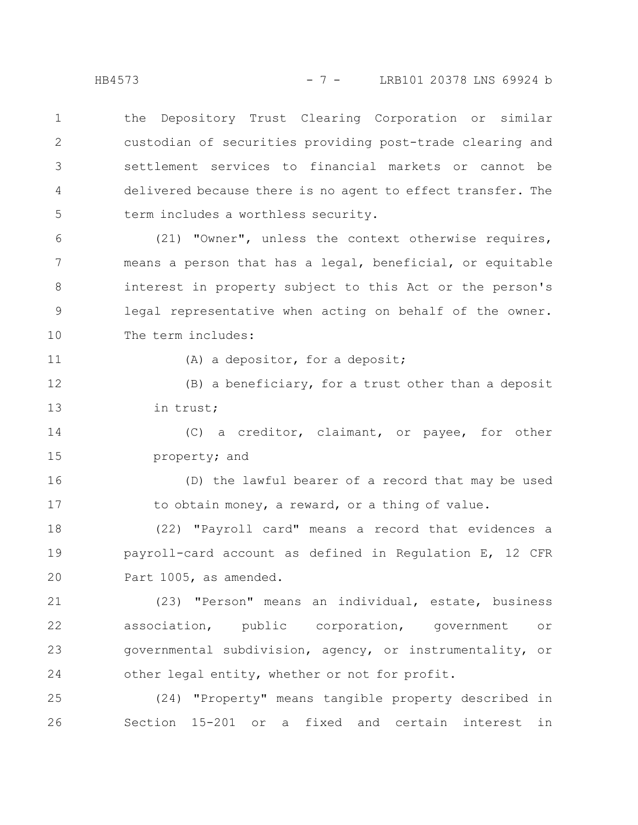the Depository Trust Clearing Corporation or similar custodian of securities providing post-trade clearing and settlement services to financial markets or cannot be delivered because there is no agent to effect transfer. The term includes a worthless security. 1 2 3 4 5

(21) "Owner", unless the context otherwise requires, means a person that has a legal, beneficial, or equitable interest in property subject to this Act or the person's legal representative when acting on behalf of the owner. The term includes: 6 7 8 9 10

11

(A) a depositor, for a deposit;

(B) a beneficiary, for a trust other than a deposit in trust; 12 13

(C) a creditor, claimant, or payee, for other property; and 14 15

(D) the lawful bearer of a record that may be used to obtain money, a reward, or a thing of value. 16 17

(22) "Payroll card" means a record that evidences a payroll-card account as defined in Regulation E, 12 CFR Part 1005, as amended. 18 19 20

(23) "Person" means an individual, estate, business association, public corporation, government or governmental subdivision, agency, or instrumentality, or other legal entity, whether or not for profit. 21 22 23 24

(24) "Property" means tangible property described in Section 15-201 or a fixed and certain interest in 25 26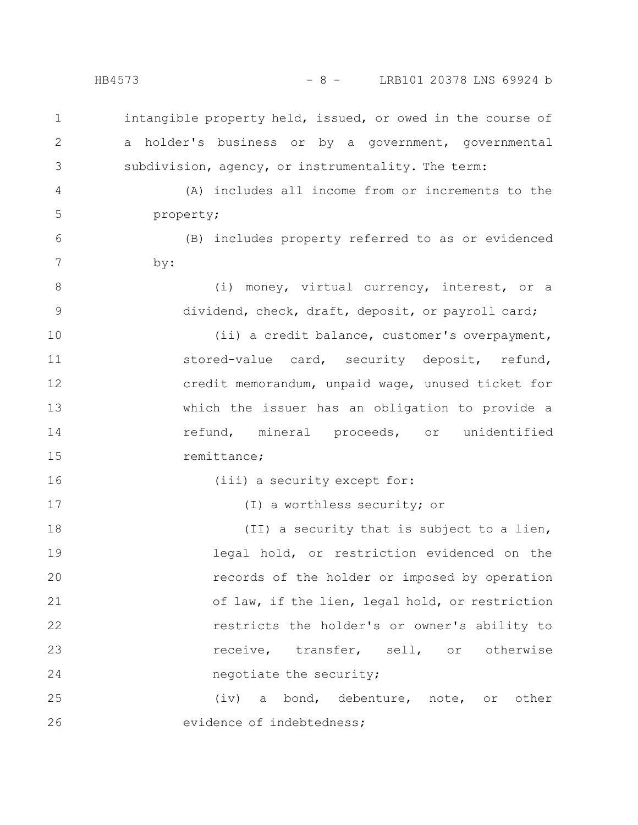HB4573 - 8 - LRB101 20378 LNS 69924 b

intangible property held, issued, or owed in the course of a holder's business or by a government, governmental subdivision, agency, or instrumentality. The term: (A) includes all income from or increments to the property; (B) includes property referred to as or evidenced by: (i) money, virtual currency, interest, or a dividend, check, draft, deposit, or payroll card; (ii) a credit balance, customer's overpayment, stored-value card, security deposit, refund, credit memorandum, unpaid wage, unused ticket for which the issuer has an obligation to provide a refund, mineral proceeds, or unidentified remittance; (iii) a security except for: (I) a worthless security; or (II) a security that is subject to a lien, legal hold, or restriction evidenced on the records of the holder or imposed by operation of law, if the lien, legal hold, or restriction restricts the holder's or owner's ability to receive, transfer, sell, or otherwise negotiate the security; (iv) a bond, debenture, note, or other evidence of indebtedness; 1 2 3 4 5 6 7 8 9 10 11 12 13 14 15 16 17 18 19 20 21 22 23 24 25 26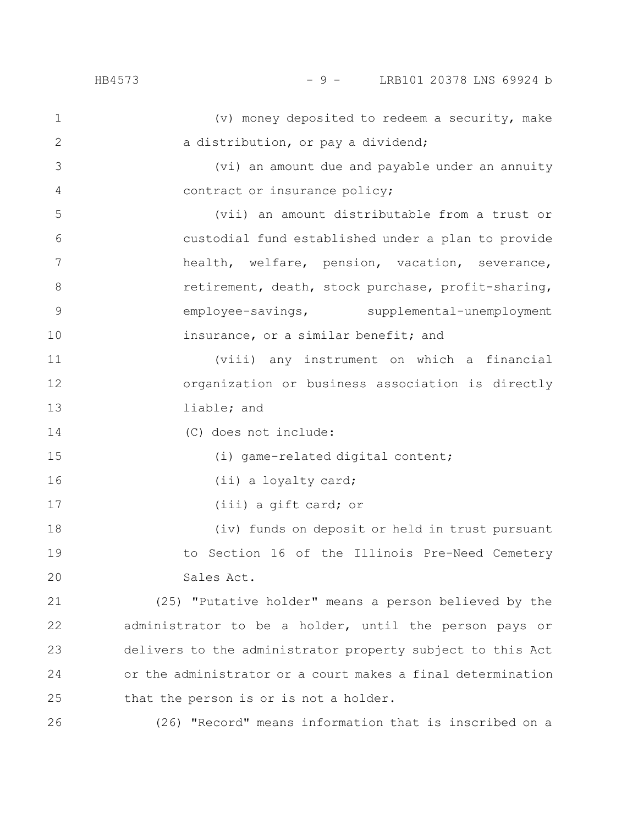4

15

16

17

(v) money deposited to redeem a security, make a distribution, or pay a dividend; 1 2

(vi) an amount due and payable under an annuity contract or insurance policy;

(vii) an amount distributable from a trust or custodial fund established under a plan to provide health, welfare, pension, vacation, severance, retirement, death, stock purchase, profit-sharing, employee-savings, supplemental-unemployment insurance, or a similar benefit; and 5 6 7 8 9 10

(viii) any instrument on which a financial organization or business association is directly liable; and 11 12 13

(C) does not include: 14

(i) game-related digital content;

(ii) a loyalty card;

(iii) a gift card; or

(iv) funds on deposit or held in trust pursuant to Section 16 of the Illinois Pre-Need Cemetery Sales Act. 18 19 20

(25) "Putative holder" means a person believed by the administrator to be a holder, until the person pays or delivers to the administrator property subject to this Act or the administrator or a court makes a final determination that the person is or is not a holder. 21 22 23 24 25

(26) "Record" means information that is inscribed on a 26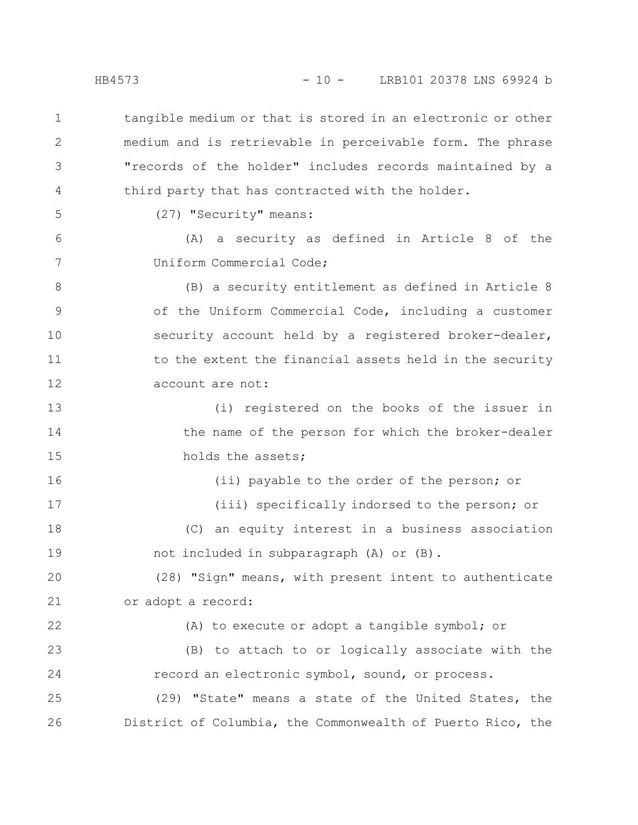tangible medium or that is stored in an electronic or other medium and is retrievable in perceivable form. The phrase "records of the holder" includes records maintained by a third party that has contracted with the holder. 1 2 3 4

5

6

7

(27) "Security" means:

(A) a security as defined in Article 8 of the Uniform Commercial Code;

(B) a security entitlement as defined in Article 8 of the Uniform Commercial Code, including a customer security account held by a registered broker-dealer, to the extent the financial assets held in the security account are not: 8 9 10 11 12

(i) registered on the books of the issuer in the name of the person for which the broker-dealer holds the assets; 13 14 15

(ii) payable to the order of the person; or (iii) specifically indorsed to the person; or (C) an equity interest in a business association not included in subparagraph (A) or (B). 16 17 18 19

(28) "Sign" means, with present intent to authenticate or adopt a record: 20 21

(A) to execute or adopt a tangible symbol; or (B) to attach to or logically associate with the record an electronic symbol, sound, or process. (29) "State" means a state of the United States, the District of Columbia, the Commonwealth of Puerto Rico, the 22 23 24 25 26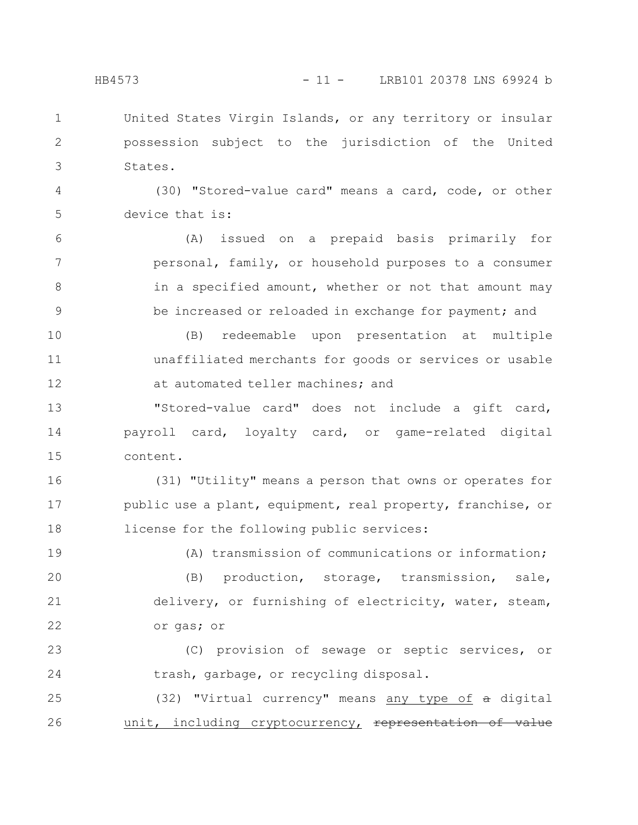United States Virgin Islands, or any territory or insular possession subject to the jurisdiction of the United States. 1 2 3

(30) "Stored-value card" means a card, code, or other device that is: 4 5

(A) issued on a prepaid basis primarily for personal, family, or household purposes to a consumer in a specified amount, whether or not that amount may be increased or reloaded in exchange for payment; and 6 7 8 9

(B) redeemable upon presentation at multiple unaffiliated merchants for goods or services or usable at automated teller machines; and 10 11 12

"Stored-value card" does not include a gift card, payroll card, loyalty card, or game-related digital content. 13 14 15

(31) "Utility" means a person that owns or operates for public use a plant, equipment, real property, franchise, or license for the following public services: 16 17 18

19

(A) transmission of communications or information;

(B) production, storage, transmission, sale, delivery, or furnishing of electricity, water, steam, or gas; or 20 21 22

(C) provision of sewage or septic services, or trash, garbage, or recycling disposal. 23 24

(32) "Virtual currency" means any type of a digital unit, including cryptocurrency, representation 25 26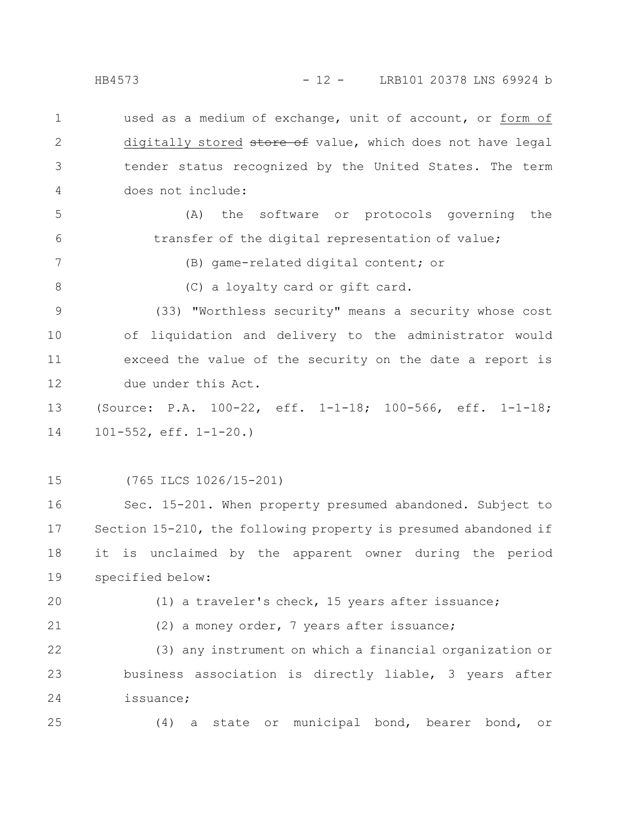HB4573 - 12 - LRB101 20378 LNS 69924 b

used as a medium of exchange, unit of account, or form of digitally stored store of value, which does not have legal tender status recognized by the United States. The term does not include: 1 2 3 4

(A) the software or protocols governing the transfer of the digital representation of value; 5 6

7

8

(B) game-related digital content; or

(C) a loyalty card or gift card.

(33) "Worthless security" means a security whose cost of liquidation and delivery to the administrator would exceed the value of the security on the date a report is due under this Act. 9 10 11 12

(Source: P.A. 100-22, eff. 1-1-18; 100-566, eff. 1-1-18; 101-552, eff. 1-1-20.) 13 14

15

(765 ILCS 1026/15-201)

Sec. 15-201. When property presumed abandoned. Subject to Section 15-210, the following property is presumed abandoned if it is unclaimed by the apparent owner during the period specified below: 16 17 18 19

20

(1) a traveler's check, 15 years after issuance;

21

(2) a money order, 7 years after issuance;

(3) any instrument on which a financial organization or business association is directly liable, 3 years after issuance; 22 23 24

25

(4) a state or municipal bond, bearer bond, or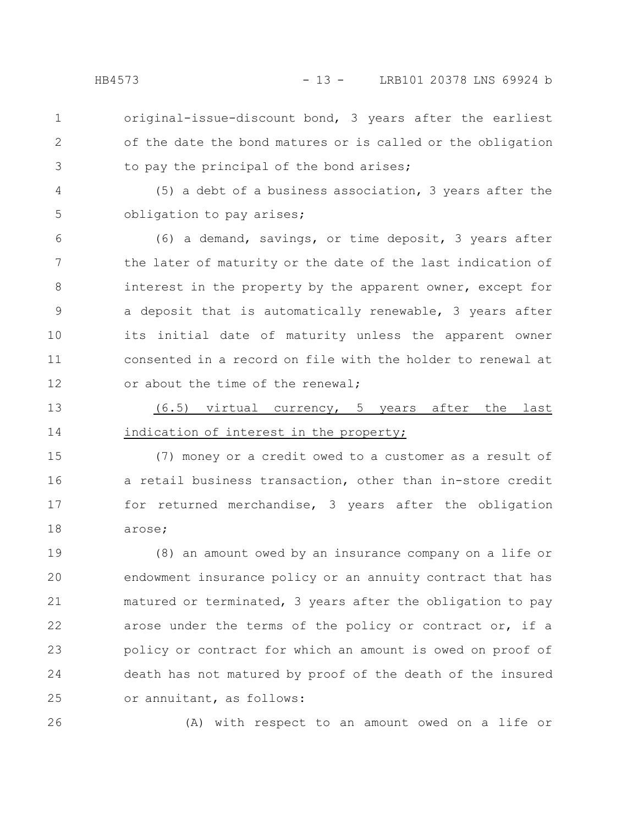2

3

- original-issue-discount bond, 3 years after the earliest of the date the bond matures or is called or the obligation to pay the principal of the bond arises;
- (5) a debt of a business association, 3 years after the obligation to pay arises; 4 5
- (6) a demand, savings, or time deposit, 3 years after the later of maturity or the date of the last indication of interest in the property by the apparent owner, except for a deposit that is automatically renewable, 3 years after its initial date of maturity unless the apparent owner consented in a record on file with the holder to renewal at or about the time of the renewal; 6 7 8 9 10 11 12
- (6.5) virtual currency, 5 years after the last indication of interest in the property; 13 14

(7) money or a credit owed to a customer as a result of a retail business transaction, other than in-store credit for returned merchandise, 3 years after the obligation arose; 15 16 17 18

(8) an amount owed by an insurance company on a life or endowment insurance policy or an annuity contract that has matured or terminated, 3 years after the obligation to pay arose under the terms of the policy or contract or, if a policy or contract for which an amount is owed on proof of death has not matured by proof of the death of the insured or annuitant, as follows: 19 20 21 22 23 24 25

26

(A) with respect to an amount owed on a life or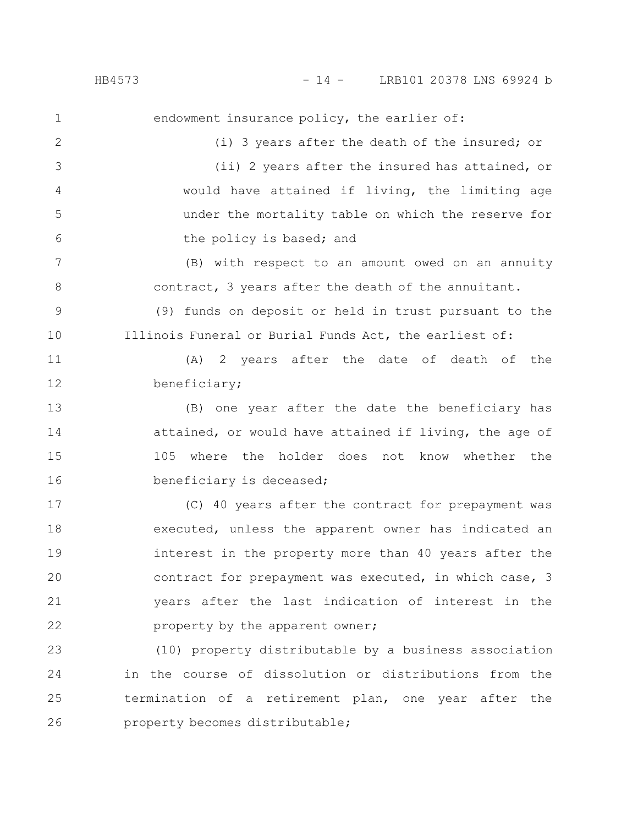endowment insurance policy, the earlier of: (i) 3 years after the death of the insured; or (ii) 2 years after the insured has attained, or would have attained if living, the limiting age under the mortality table on which the reserve for the policy is based; and (B) with respect to an amount owed on an annuity contract, 3 years after the death of the annuitant. (9) funds on deposit or held in trust pursuant to the Illinois Funeral or Burial Funds Act, the earliest of: (A) 2 years after the date of death of the beneficiary; (B) one year after the date the beneficiary has attained, or would have attained if living, the age of 105 where the holder does not know whether the beneficiary is deceased; (C) 40 years after the contract for prepayment was executed, unless the apparent owner has indicated an interest in the property more than 40 years after the contract for prepayment was executed, in which case, 3 years after the last indication of interest in the property by the apparent owner; (10) property distributable by a business association in the course of dissolution or distributions from the termination of a retirement plan, one year after the 1 2 3 4 5 6 7 8 9 10 11 12 13 14 15 16 17 18 19 20 21 22 23 24 25

property becomes distributable; 26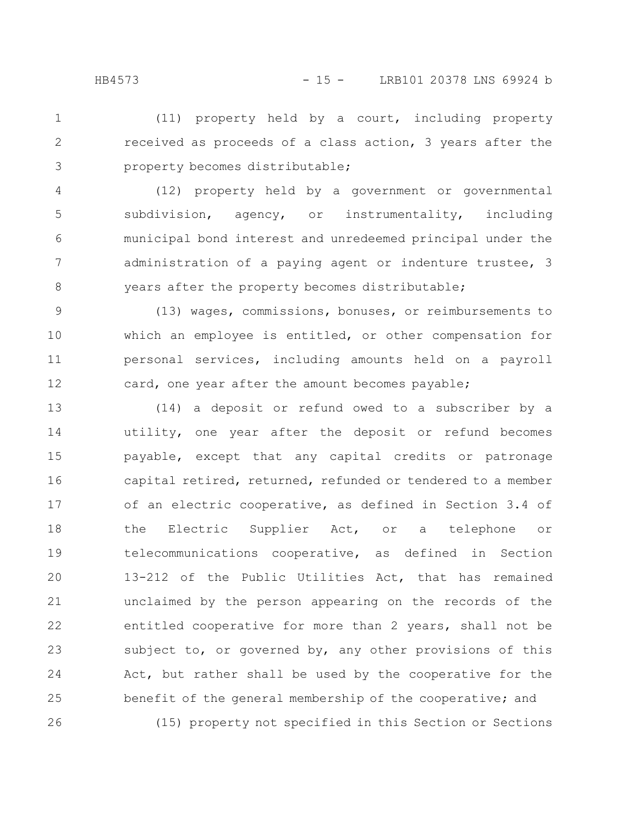(11) property held by a court, including property received as proceeds of a class action, 3 years after the property becomes distributable; 1 2 3

(12) property held by a government or governmental subdivision, agency, or instrumentality, including municipal bond interest and unredeemed principal under the administration of a paying agent or indenture trustee, 3 years after the property becomes distributable; 4 5 6 7 8

(13) wages, commissions, bonuses, or reimbursements to which an employee is entitled, or other compensation for personal services, including amounts held on a payroll card, one year after the amount becomes payable; 9 10 11 12

(14) a deposit or refund owed to a subscriber by a utility, one year after the deposit or refund becomes payable, except that any capital credits or patronage capital retired, returned, refunded or tendered to a member of an electric cooperative, as defined in Section 3.4 of the Electric Supplier Act, or a telephone or telecommunications cooperative, as defined in Section 13-212 of the Public Utilities Act, that has remained unclaimed by the person appearing on the records of the entitled cooperative for more than 2 years, shall not be subject to, or governed by, any other provisions of this Act, but rather shall be used by the cooperative for the benefit of the general membership of the cooperative; and (15) property not specified in this Section or Sections 13 14 15 16 17 18 19 20 21 22 23 24 25 26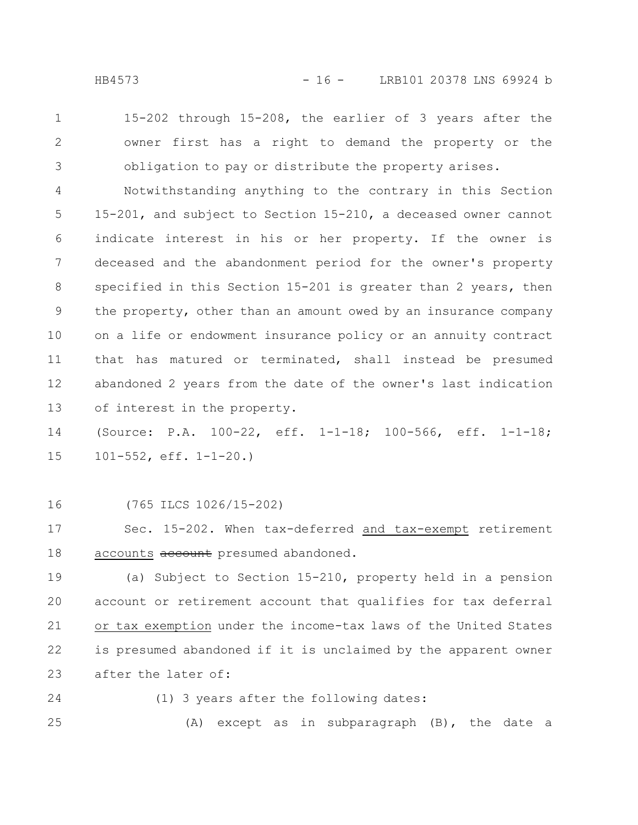- 
- 15-202 through 15-208, the earlier of 3 years after the owner first has a right to demand the property or the obligation to pay or distribute the property arises. 1 2 3

Notwithstanding anything to the contrary in this Section 15-201, and subject to Section 15-210, a deceased owner cannot indicate interest in his or her property. If the owner is deceased and the abandonment period for the owner's property specified in this Section 15-201 is greater than 2 years, then the property, other than an amount owed by an insurance company on a life or endowment insurance policy or an annuity contract that has matured or terminated, shall instead be presumed abandoned 2 years from the date of the owner's last indication of interest in the property. 4 5 6 7 8 9 10 11 12 13

(Source: P.A. 100-22, eff. 1-1-18; 100-566, eff. 1-1-18; 101-552, eff. 1-1-20.) 14 15

(765 ILCS 1026/15-202) 16

Sec. 15-202. When tax-deferred and tax-exempt retirement accounts account presumed abandoned. 17 18

(a) Subject to Section 15-210, property held in a pension account or retirement account that qualifies for tax deferral or tax exemption under the income-tax laws of the United States is presumed abandoned if it is unclaimed by the apparent owner after the later of: 19 20 21 22 23

- 24
- (1) 3 years after the following dates:

(A) except as in subparagraph (B), the date a 25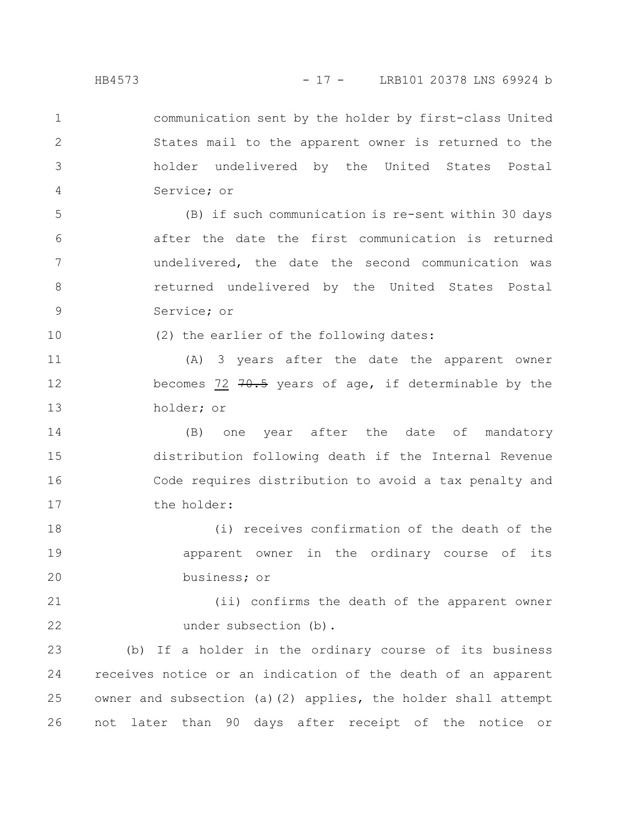communication sent by the holder by first-class United States mail to the apparent owner is returned to the holder undelivered by the United States Postal Service; or 1 2 3 4

(B) if such communication is re-sent within 30 days after the date the first communication is returned undelivered, the date the second communication was returned undelivered by the United States Postal Service; or 5 6 7 8 9

(2) the earlier of the following dates:

(A) 3 years after the date the apparent owner becomes 72  $70.5$  years of age, if determinable by the holder; or 11 12 13

(B) one year after the date of mandatory distribution following death if the Internal Revenue Code requires distribution to avoid a tax penalty and the holder: 14 15 16 17

(i) receives confirmation of the death of the apparent owner in the ordinary course of its business; or 18 19 20

(ii) confirms the death of the apparent owner under subsection (b). 21 22

(b) If a holder in the ordinary course of its business receives notice or an indication of the death of an apparent owner and subsection (a)(2) applies, the holder shall attempt not later than 90 days after receipt of the notice or 23 24 25 26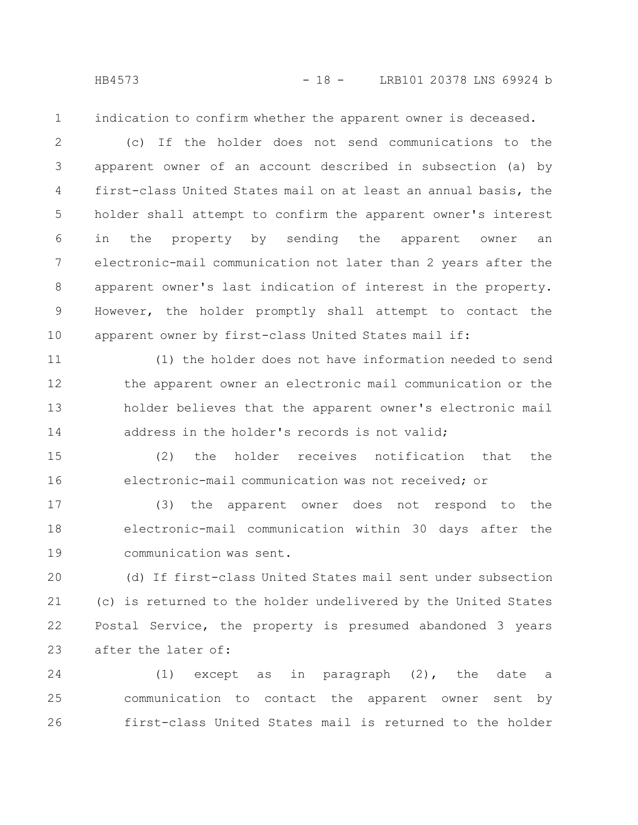indication to confirm whether the apparent owner is deceased.

(c) If the holder does not send communications to the apparent owner of an account described in subsection (a) by first-class United States mail on at least an annual basis, the holder shall attempt to confirm the apparent owner's interest in the property by sending the apparent owner an electronic-mail communication not later than 2 years after the apparent owner's last indication of interest in the property. However, the holder promptly shall attempt to contact the apparent owner by first-class United States mail if: 2 3 4 5 6 7 8 9 10

(1) the holder does not have information needed to send the apparent owner an electronic mail communication or the holder believes that the apparent owner's electronic mail address in the holder's records is not valid; 11 12 13 14

(2) the holder receives notification that the electronic-mail communication was not received; or 15 16

(3) the apparent owner does not respond to the electronic-mail communication within 30 days after the communication was sent. 17 18 19

(d) If first-class United States mail sent under subsection (c) is returned to the holder undelivered by the United States Postal Service, the property is presumed abandoned 3 years after the later of: 20 21 22 23

(1) except as in paragraph (2), the date a communication to contact the apparent owner sent by first-class United States mail is returned to the holder 24 25 26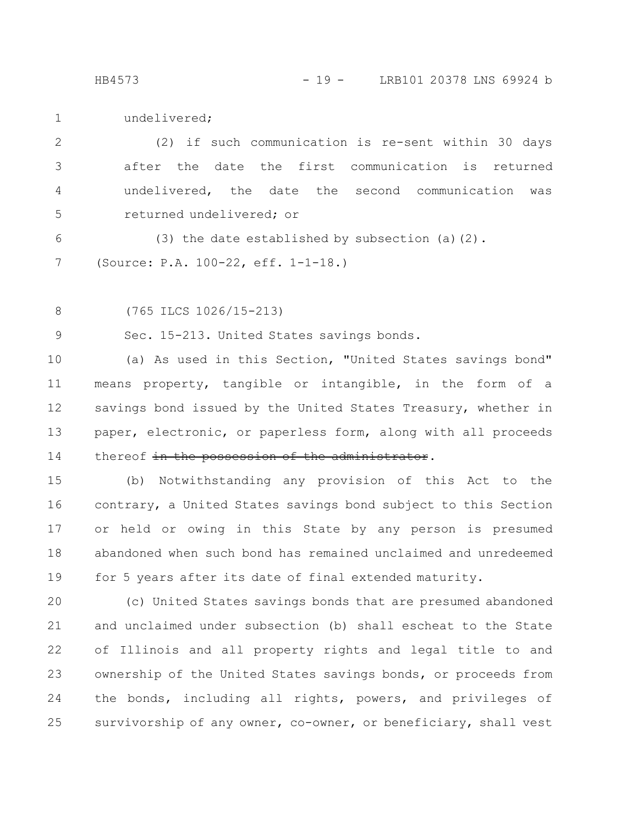HB4573 - 19 - LRB101 20378 LNS 69924 b

undelivered; 1

(2) if such communication is re-sent within 30 days after the date the first communication is returned undelivered, the date the second communication was returned undelivered; or 2 3 4 5

(3) the date established by subsection (a)(2). (Source: P.A. 100-22, eff. 1-1-18.) 6 7

(765 ILCS 1026/15-213) 8

Sec. 15-213. United States savings bonds. 9

(a) As used in this Section, "United States savings bond" means property, tangible or intangible, in the form of a savings bond issued by the United States Treasury, whether in paper, electronic, or paperless form, along with all proceeds thereof in the possession of the administrator. 10 11 12 13 14

(b) Notwithstanding any provision of this Act to the contrary, a United States savings bond subject to this Section or held or owing in this State by any person is presumed abandoned when such bond has remained unclaimed and unredeemed for 5 years after its date of final extended maturity. 15 16 17 18 19

(c) United States savings bonds that are presumed abandoned and unclaimed under subsection (b) shall escheat to the State of Illinois and all property rights and legal title to and ownership of the United States savings bonds, or proceeds from the bonds, including all rights, powers, and privileges of survivorship of any owner, co-owner, or beneficiary, shall vest 20 21 22 23 24 25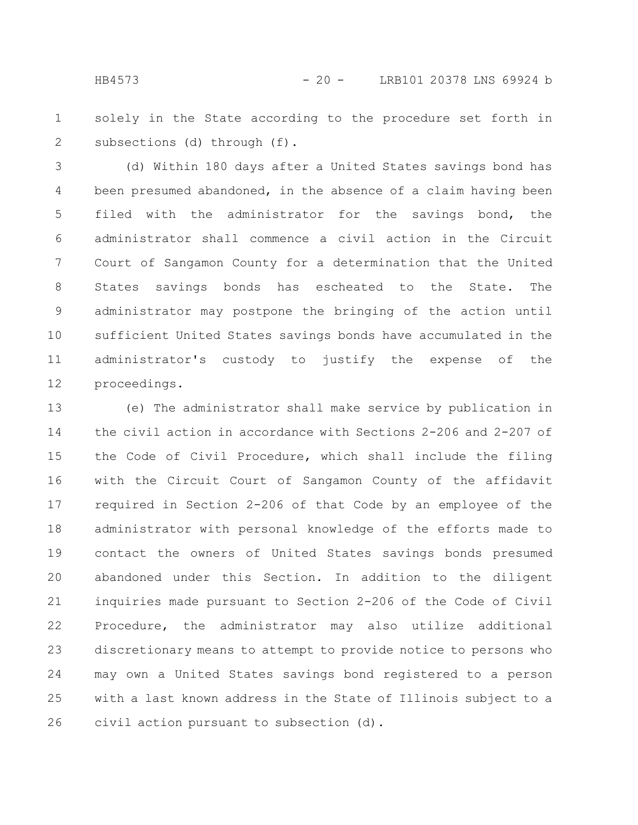solely in the State according to the procedure set forth in subsections (d) through (f). 1 2

(d) Within 180 days after a United States savings bond has been presumed abandoned, in the absence of a claim having been filed with the administrator for the savings bond, the administrator shall commence a civil action in the Circuit Court of Sangamon County for a determination that the United States savings bonds has escheated to the State. The administrator may postpone the bringing of the action until sufficient United States savings bonds have accumulated in the administrator's custody to justify the expense of the proceedings. 3 4 5 6 7 8 9 10 11 12

(e) The administrator shall make service by publication in the civil action in accordance with Sections 2-206 and 2-207 of the Code of Civil Procedure, which shall include the filing with the Circuit Court of Sangamon County of the affidavit required in Section 2-206 of that Code by an employee of the administrator with personal knowledge of the efforts made to contact the owners of United States savings bonds presumed abandoned under this Section. In addition to the diligent inquiries made pursuant to Section 2-206 of the Code of Civil Procedure, the administrator may also utilize additional discretionary means to attempt to provide notice to persons who may own a United States savings bond registered to a person with a last known address in the State of Illinois subject to a civil action pursuant to subsection (d). 13 14 15 16 17 18 19 20 21 22 23 24 25 26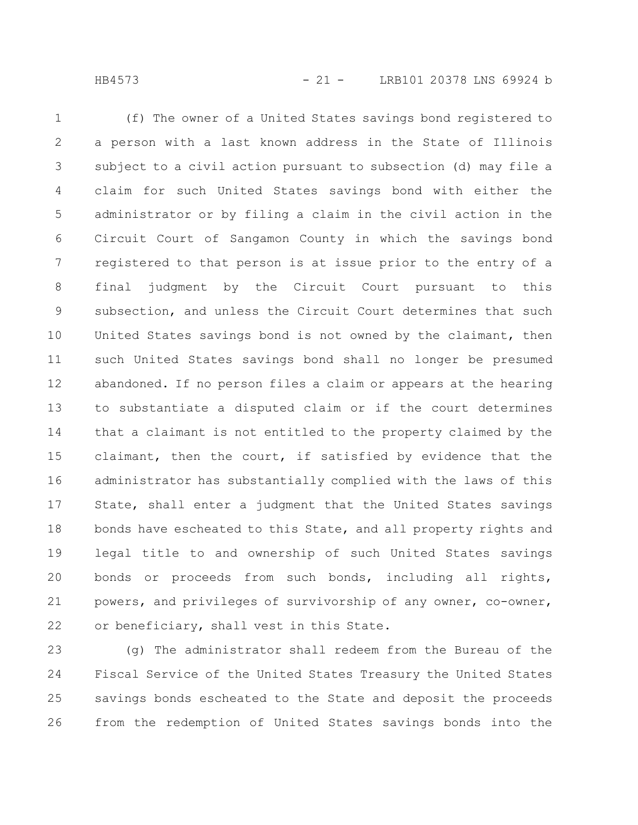(f) The owner of a United States savings bond registered to a person with a last known address in the State of Illinois subject to a civil action pursuant to subsection (d) may file a claim for such United States savings bond with either the administrator or by filing a claim in the civil action in the Circuit Court of Sangamon County in which the savings bond registered to that person is at issue prior to the entry of a final judgment by the Circuit Court pursuant to this subsection, and unless the Circuit Court determines that such United States savings bond is not owned by the claimant, then such United States savings bond shall no longer be presumed abandoned. If no person files a claim or appears at the hearing to substantiate a disputed claim or if the court determines that a claimant is not entitled to the property claimed by the claimant, then the court, if satisfied by evidence that the administrator has substantially complied with the laws of this State, shall enter a judgment that the United States savings bonds have escheated to this State, and all property rights and legal title to and ownership of such United States savings bonds or proceeds from such bonds, including all rights, powers, and privileges of survivorship of any owner, co-owner, or beneficiary, shall vest in this State. 1 2 3 4 5 6 7 8 9 10 11 12 13 14 15 16 17 18 19 20 21 22

(g) The administrator shall redeem from the Bureau of the Fiscal Service of the United States Treasury the United States savings bonds escheated to the State and deposit the proceeds from the redemption of United States savings bonds into the 23 24 25 26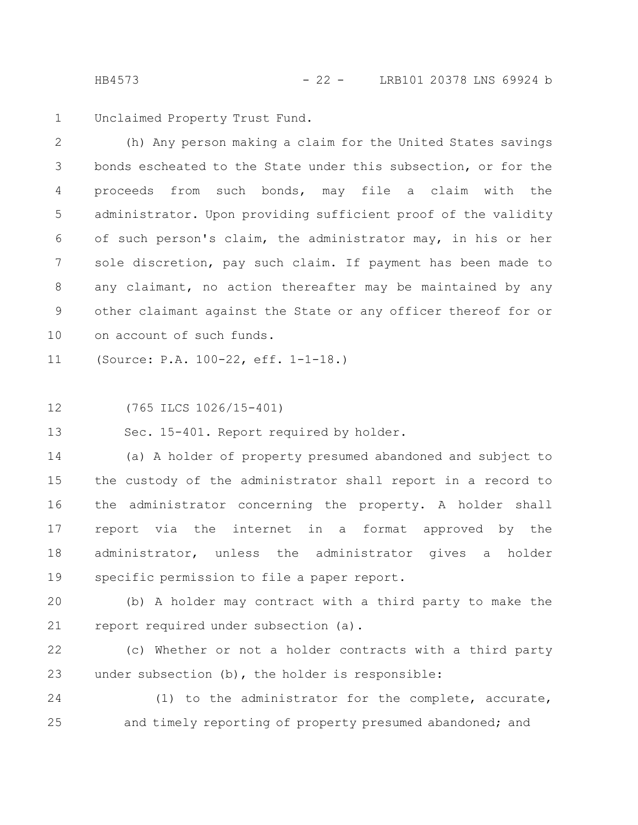Unclaimed Property Trust Fund. 1

(h) Any person making a claim for the United States savings bonds escheated to the State under this subsection, or for the proceeds from such bonds, may file a claim with the administrator. Upon providing sufficient proof of the validity of such person's claim, the administrator may, in his or her sole discretion, pay such claim. If payment has been made to any claimant, no action thereafter may be maintained by any other claimant against the State or any officer thereof for or on account of such funds. 2 3 4 5 6 7 8 9 10

(Source: P.A. 100-22, eff. 1-1-18.) 11

(765 ILCS 1026/15-401) 12

Sec. 15-401. Report required by holder. 13

(a) A holder of property presumed abandoned and subject to the custody of the administrator shall report in a record to the administrator concerning the property. A holder shall report via the internet in a format approved by the administrator, unless the administrator gives a holder specific permission to file a paper report. 14 15 16 17 18 19

(b) A holder may contract with a third party to make the report required under subsection (a). 20 21

(c) Whether or not a holder contracts with a third party under subsection (b), the holder is responsible: 22 23

(1) to the administrator for the complete, accurate, and timely reporting of property presumed abandoned; and 24 25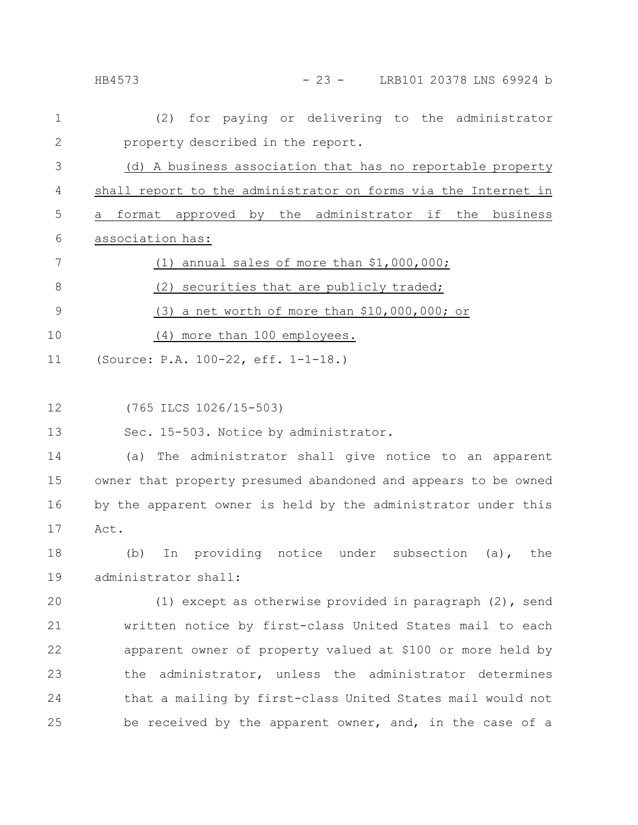|              | - 23 - LRB101 20378 LNS 69924 b<br>HB4573                      |
|--------------|----------------------------------------------------------------|
| 1            | (2) for paying or delivering to the administrator              |
| $\mathbf{2}$ | property described in the report.                              |
| 3            | (d) A business association that has no reportable property     |
| 4            | shall report to the administrator on forms via the Internet in |
| 5            | format approved by the administrator if the<br>business<br>a   |
| 6            | association has:                                               |
| 7            | (1) annual sales of more than \$1,000,000;                     |
| 8            | (2) securities that are publicly traded;                       |
| 9            | $(3)$ a net worth of more than \$10,000,000; or                |
| 10           | (4) more than 100 employees.                                   |
| 11           | (Source: P.A. 100-22, eff. 1-1-18.)                            |
|              |                                                                |
| 12           | (765 ILCS 1026/15-503)                                         |
| 13           | Sec. 15-503. Notice by administrator.                          |
| 14           | The administrator shall give notice to an apparent<br>(a)      |
| 15           | owner that property presumed abandoned and appears to be owned |
| 16           | by the apparent owner is held by the administrator under this  |
| 17           | Act.                                                           |
| 18           | In providing notice under subsection (a), the<br>(b)           |
| 19           | administrator shall:                                           |
| 20           | (1) except as otherwise provided in paragraph $(2)$ , send     |
| 21           | written notice by first-class United States mail to each       |
| 22           | apparent owner of property valued at \$100 or more held by     |
| 23           | the administrator, unless the administrator determines         |
| 24           | that a mailing by first-class United States mail would not     |
| 25           | be received by the apparent owner, and, in the case of a       |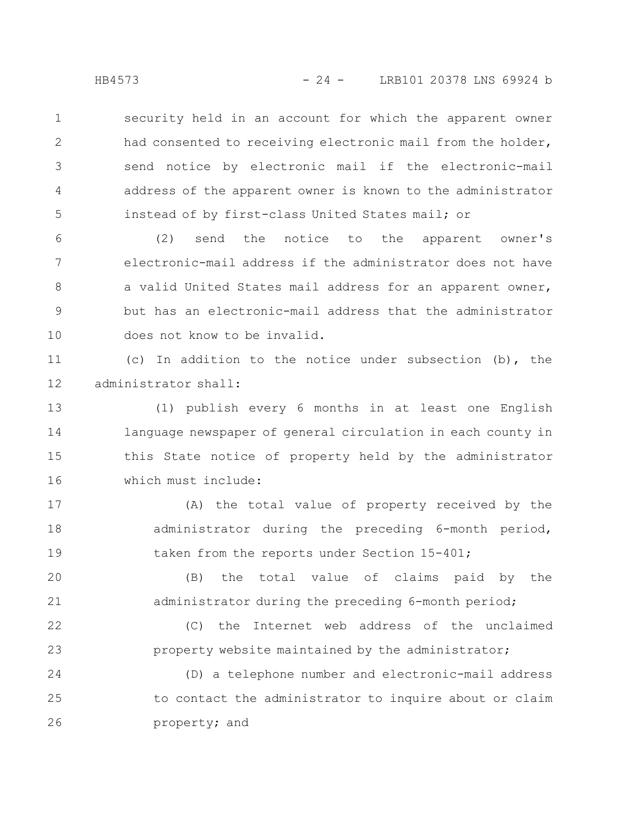security held in an account for which the apparent owner had consented to receiving electronic mail from the holder, send notice by electronic mail if the electronic-mail address of the apparent owner is known to the administrator instead of by first-class United States mail; or 1 2 3 4 5

(2) send the notice to the apparent owner's electronic-mail address if the administrator does not have a valid United States mail address for an apparent owner, but has an electronic-mail address that the administrator does not know to be invalid. 6 7 8 9 10

(c) In addition to the notice under subsection (b), the administrator shall: 11 12

(1) publish every 6 months in at least one English language newspaper of general circulation in each county in this State notice of property held by the administrator which must include: 13 14 15 16

(A) the total value of property received by the administrator during the preceding 6-month period, taken from the reports under Section 15-401; 17 18 19

(B) the total value of claims paid by the administrator during the preceding 6-month period; 20 21

(C) the Internet web address of the unclaimed property website maintained by the administrator; 22 23

(D) a telephone number and electronic-mail address to contact the administrator to inquire about or claim property; and 24 25 26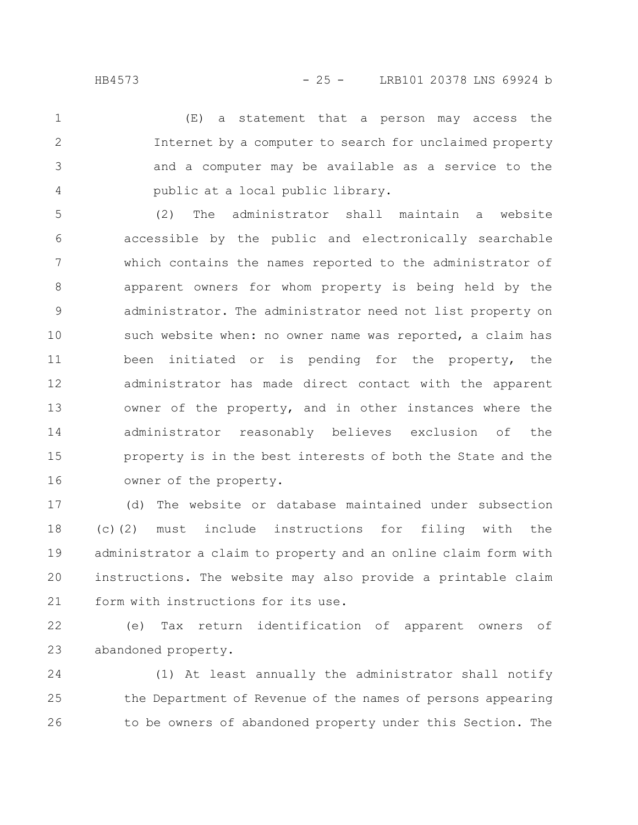(E) a statement that a person may access the Internet by a computer to search for unclaimed property and a computer may be available as a service to the public at a local public library. 1 2 3 4

(2) The administrator shall maintain a website accessible by the public and electronically searchable which contains the names reported to the administrator of apparent owners for whom property is being held by the administrator. The administrator need not list property on such website when: no owner name was reported, a claim has been initiated or is pending for the property, the administrator has made direct contact with the apparent owner of the property, and in other instances where the administrator reasonably believes exclusion of the property is in the best interests of both the State and the owner of the property. 5 6 7 8 9 10 11 12 13 14 15 16

(d) The website or database maintained under subsection (c)(2) must include instructions for filing with the administrator a claim to property and an online claim form with instructions. The website may also provide a printable claim form with instructions for its use. 17 18 19 20 21

(e) Tax return identification of apparent owners of abandoned property. 22 23

(1) At least annually the administrator shall notify the Department of Revenue of the names of persons appearing to be owners of abandoned property under this Section. The 24 25 26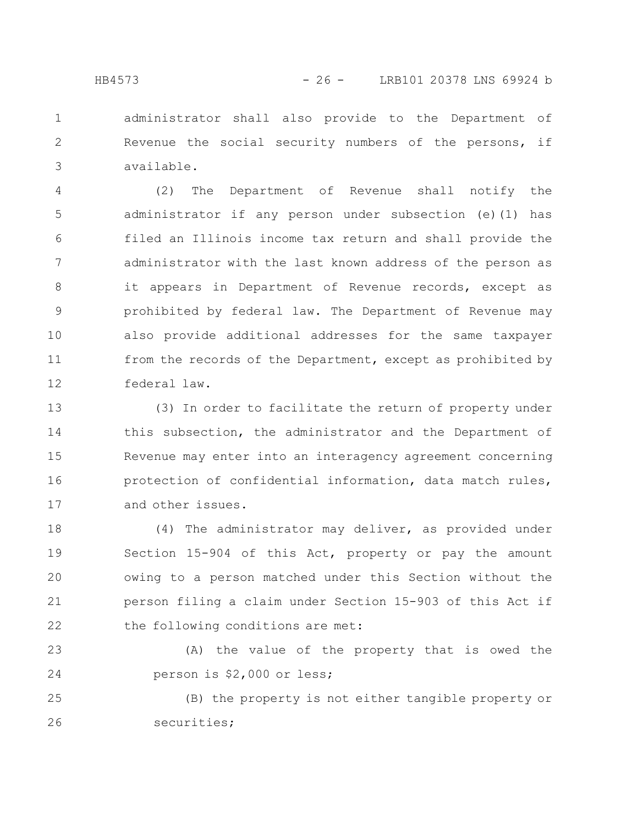administrator shall also provide to the Department of Revenue the social security numbers of the persons, if available. 1 2 3

(2) The Department of Revenue shall notify the administrator if any person under subsection (e)(1) has filed an Illinois income tax return and shall provide the administrator with the last known address of the person as it appears in Department of Revenue records, except as prohibited by federal law. The Department of Revenue may also provide additional addresses for the same taxpayer from the records of the Department, except as prohibited by federal law. 4 5 6 7 8 9 10 11 12

(3) In order to facilitate the return of property under this subsection, the administrator and the Department of Revenue may enter into an interagency agreement concerning protection of confidential information, data match rules, and other issues. 13 14 15 16 17

(4) The administrator may deliver, as provided under Section 15-904 of this Act, property or pay the amount owing to a person matched under this Section without the person filing a claim under Section 15-903 of this Act if the following conditions are met: 18 19 20 21 22

(A) the value of the property that is owed the person is \$2,000 or less; 23 24

(B) the property is not either tangible property or securities; 25 26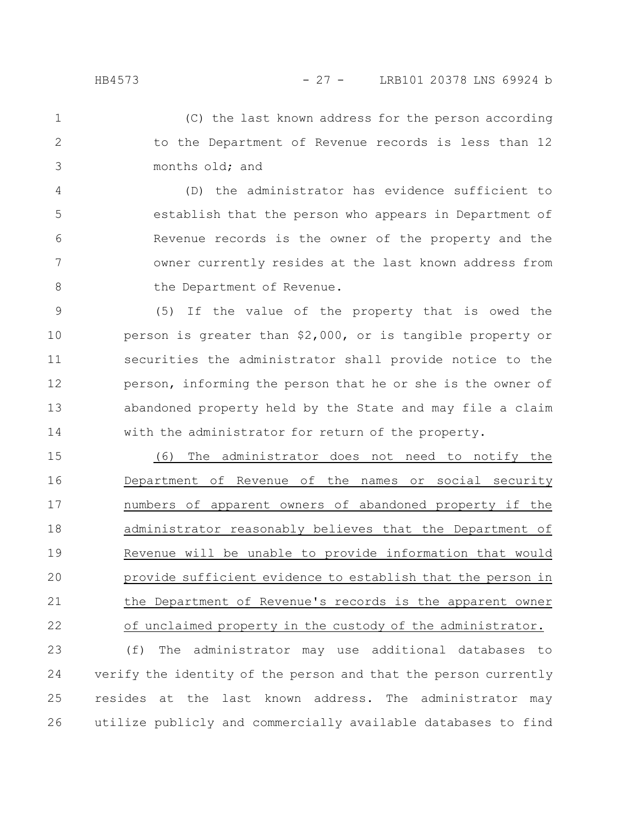(C) the last known address for the person according to the Department of Revenue records is less than 12 months old; and 1 2 3

(D) the administrator has evidence sufficient to establish that the person who appears in Department of Revenue records is the owner of the property and the owner currently resides at the last known address from the Department of Revenue. 4 5 6 7 8

(5) If the value of the property that is owed the person is greater than \$2,000, or is tangible property or securities the administrator shall provide notice to the person, informing the person that he or she is the owner of abandoned property held by the State and may file a claim with the administrator for return of the property. 9 10 11 12 13 14

(6) The administrator does not need to notify the Department of Revenue of the names or social security numbers of apparent owners of abandoned property if the administrator reasonably believes that the Department of Revenue will be unable to provide information that would provide sufficient evidence to establish that the person in the Department of Revenue's records is the apparent owner of unclaimed property in the custody of the administrator. 15 16 17 18 19 20 21 22

(f) The administrator may use additional databases to verify the identity of the person and that the person currently resides at the last known address. The administrator may utilize publicly and commercially available databases to find 23 24 25 26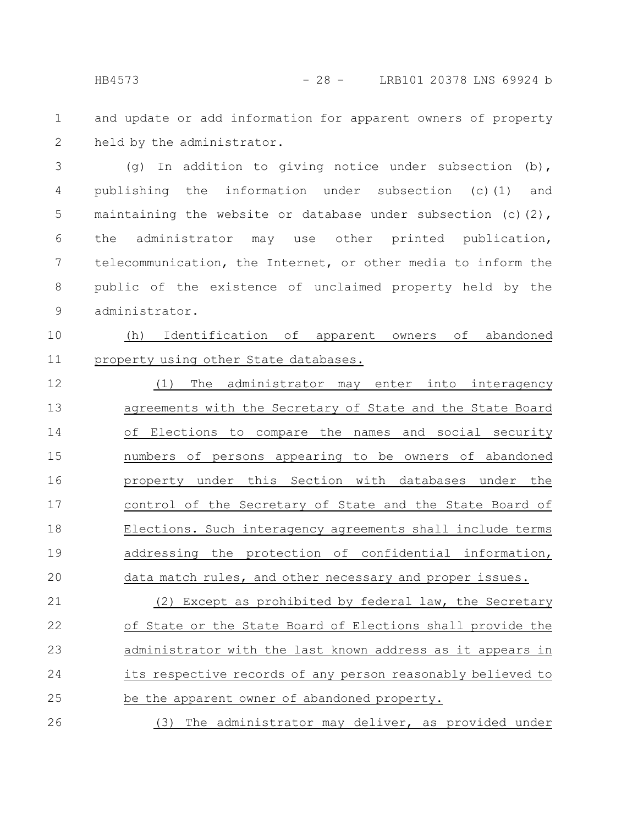and update or add information for apparent owners of property held by the administrator. 1 2

(g) In addition to giving notice under subsection (b), publishing the information under subsection (c)(1) and maintaining the website or database under subsection (c)(2), the administrator may use other printed publication, telecommunication, the Internet, or other media to inform the public of the existence of unclaimed property held by the administrator. 3 4 5 6 7 8 9

(h) Identification of apparent owners of abandoned property using other State databases. 10 11

(1) The administrator may enter into interagency agreements with the Secretary of State and the State Board of Elections to compare the names and social security numbers of persons appearing to be owners of abandoned property under this Section with databases under the control of the Secretary of State and the State Board of Elections. Such interagency agreements shall include terms addressing the protection of confidential information, data match rules, and other necessary and proper issues. 12 13 14 15 16 17 18 19 20

(2) Except as prohibited by federal law, the Secretary of State or the State Board of Elections shall provide the administrator with the last known address as it appears in its respective records of any person reasonably believed to be the apparent owner of abandoned property. 21 22 23 24 25

(3) The administrator may deliver, as provided under 26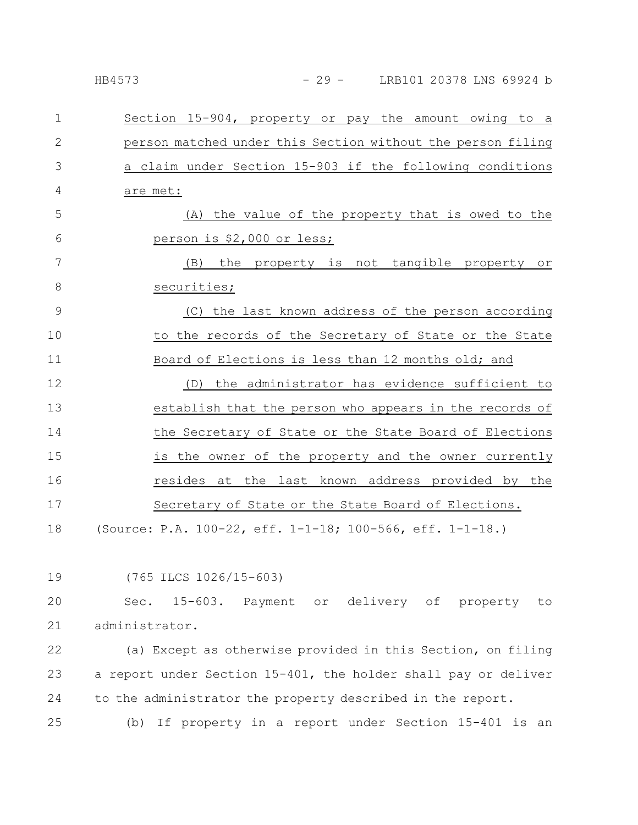| $\mathbf{1}$ | Section 15-904, property or pay the amount owing to a       |
|--------------|-------------------------------------------------------------|
| $\mathbf{2}$ | person matched under this Section without the person filing |
| 3            | a claim under Section 15-903 if the following conditions    |
| 4            | are met:                                                    |
| 5            | (A) the value of the property that is owed to the           |
| 6            | person is \$2,000 or less;                                  |
| 7            | (B) the property is not tangible property or                |
| 8            | securities;                                                 |
| 9            | (C) the last known address of the person according          |
| 10           | to the records of the Secretary of State or the State       |
| 11           | Board of Elections is less than 12 months old; and          |
| 12           | the administrator has evidence sufficient to<br>(D)         |
| 13           | establish that the person who appears in the records of     |
| 14           | the Secretary of State or the State Board of Elections      |
| 15           | is the owner of the property and the owner currently        |
| 16           | resides at the last known address provided by the           |
| 17           | Secretary of State or the State Board of Elections.         |
| 18           | (Source: P.A. 100-22, eff. 1-1-18; 100-566, eff. 1-1-18.)   |

(765 ILCS 1026/15-603)

Sec. 15-603. Payment or delivery of property to administrator. 20 21

(a) Except as otherwise provided in this Section, on filing a report under Section 15-401, the holder shall pay or deliver to the administrator the property described in the report. 22 23 24

(b) If property in a report under Section 15-401 is an 25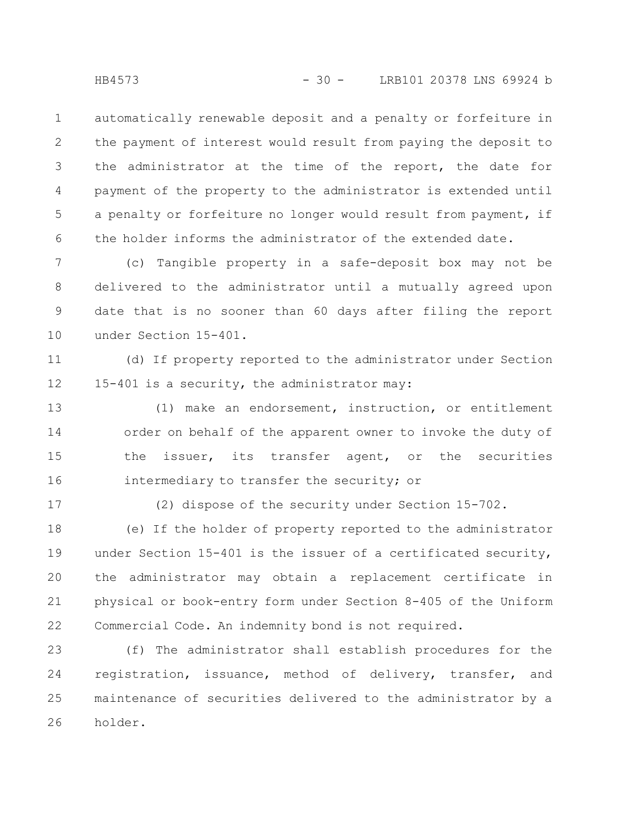automatically renewable deposit and a penalty or forfeiture in the payment of interest would result from paying the deposit to the administrator at the time of the report, the date for payment of the property to the administrator is extended until a penalty or forfeiture no longer would result from payment, if the holder informs the administrator of the extended date. 1 2 3 4 5 6

(c) Tangible property in a safe-deposit box may not be delivered to the administrator until a mutually agreed upon date that is no sooner than 60 days after filing the report under Section 15-401. 7 8 9 10

(d) If property reported to the administrator under Section 15-401 is a security, the administrator may: 11 12

(1) make an endorsement, instruction, or entitlement order on behalf of the apparent owner to invoke the duty of the issuer, its transfer agent, or the securities intermediary to transfer the security; or 13 14 15 16

17

(2) dispose of the security under Section 15-702.

(e) If the holder of property reported to the administrator under Section 15-401 is the issuer of a certificated security, the administrator may obtain a replacement certificate in physical or book-entry form under Section 8-405 of the Uniform Commercial Code. An indemnity bond is not required. 18 19 20 21 22

(f) The administrator shall establish procedures for the registration, issuance, method of delivery, transfer, and maintenance of securities delivered to the administrator by a holder. 23 24 25 26